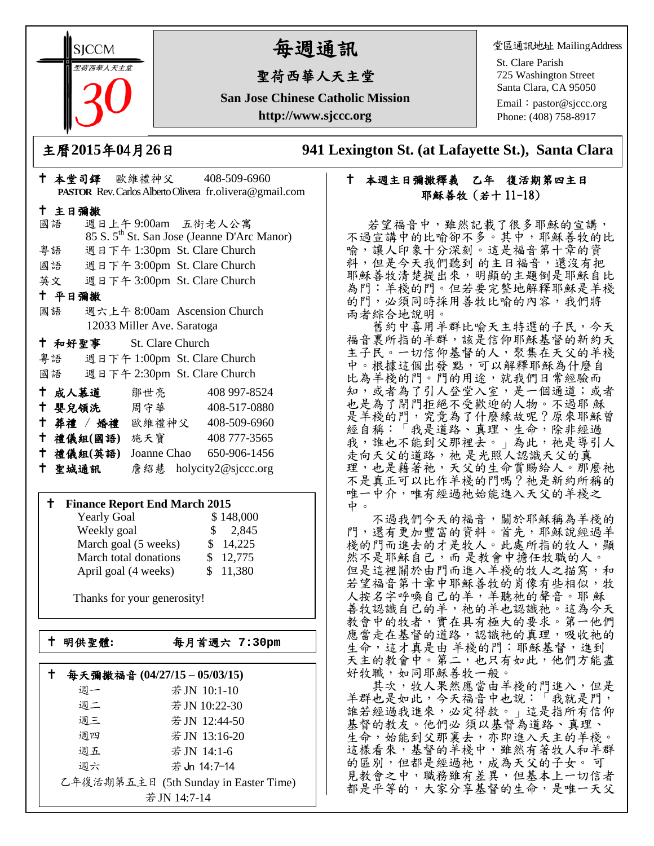**SICCM** 聖荷西華人天主堂 

# 每週通訊

## 聖荷西華人天主堂

**San Jose Chinese Catholic Mission http://www.sjccc.org**

堂區通訊地址 MailingAddress

St. Clare Parish 725 Washington Street Santa Clara, CA 95050

Email: [pastor@sjccc.org](mailto:pastor@sjccc.org) Phone: (408) 758-8917

主曆**2015**年**0**4月**26**日 **941 Lexington St. (at Lafayette St.), Santa Clara** 

### 本週主日彌撒釋義 乙年 復活期第四主日 耶穌善牧(若十 11-18)

若望福音中,雖然記載了很多耶穌的宣講。 不過宣講中的比喻卻不多。其中,耶穌善牧的比 喻,讓人印象十分深刻。這是福音第十章的資 料,但是今天我們聽到 的主日福音,還沒有把 耶穌善牧清楚提出來,明顯的主題倒是耶穌自比 為門:羊棧的門。但若要完整地解釋耶穌是羊棧 的門,必須同時採用善牧比喻的內容,我們將 兩者綜合地說明。

舊約中喜用羊群比喻天主特選的子民,今天 福音裏所指的羊群,該是信仰耶穌基督的新約天 主子民。一切信仰基督的人,聚集在天父的羊棧 中。根據這個出發點,可以解釋耶穌為什麼自 比為羊棧的門。門的用途,就我們日常經驗而 知,或者為了引人登堂入室,是一個通道;或者 也是為了閉門拒絕不受歡迎的人物。不過耶 穌 是羊棧的門,究竟為了什麼緣故呢?原來耶穌曾 經自稱:「我是道路、真理、生命,除非經過 我,誰也不能到父那裡去。」為此,祂是導引人 走向天父的道路,祂 是光照人認識天父的真 理,也是藉著祂,天父的生命賞賜給人。那麼祂 不是真正可以比作羊棧的門嗎?祂是新約所稱的 唯一中介,唯有經過祂始能進入天父的羊棧之 中。

不過我們今天的福音,關於耶穌稱為羊棧的 門,還有更加豐富的資料。首先,耶穌說經過羊 棧的門而進去的才是牧人。此處所指的牧人,顯 然不是耶穌自己,而是教會中擔任牧職的人。 但是這裡關於由門而進入羊棧的牧人之描寫,和 若望福音第十章中耶穌善牧的肖像有些相似,牧 人按名字呼喚自己的羊,羊聽祂的聲音。耶 穌 善牧認識自己的羊,祂的羊也認識祂。這為今天 教會中的牧者,實在具有極大的要求。第一他們 應當走在基督的道路,認識祂的真理,吸收祂的 生命,這才真是由 羊棧的門:耶穌基督,進到 天主的教會中。第二,也只有如此,他們方能盡 好牧職,如同耶穌善牧一般。

其次,牧人果然應當由羊棧的門進入,但是 羊群也是如此,今天福音中也說:「我就是門, 誰若經過我進來,必定得救。」這是指所有信仰 基督的教友。他們必 須以基督為道路、真理、 生命,始能到父那裏去,亦即進入天主的羊棧。 這樣看來,基督的羊棧中,雖然有著牧人和羊群 的區別,但都是經過祂,成為天父的子女。可 見教會之中,職務雖有差異,但基本上一切信者 都是平等的,大家分享基督的生命,是唯一天父

|        |               |                                    | PASTOR Rev. Carlos Alberto Olivera fr.olivera@gmail.com |
|--------|---------------|------------------------------------|---------------------------------------------------------|
| 十 主日彌撒 |               |                                    |                                                         |
|        |               |                                    | 國語 週日上午9:00am 五街老人公寓                                    |
|        |               |                                    | 85 S. 5 <sup>th</sup> St. San Jose (Jeanne D'Arc Manor) |
| 粤語     |               |                                    | 週日下午 1:30pm St. Clare Church                            |
|        |               |                                    | 國語 週日下午 3:00pm St. Clare Church                         |
|        |               |                                    | 英文 週日下午 3:00pm St. Clare Church                         |
| 十 平日彌撒 |               |                                    |                                                         |
| 國語     |               |                                    | 週六上午 8:00am Ascension Church                            |
|        |               | 12033 Miller Ave. Saratoga         |                                                         |
|        |               | <sup>†</sup> 和好聖事 St. Clare Church |                                                         |
|        |               |                                    | 粤語 週日下午 1:00pm St. Clare Church                         |
|        |               |                                    | 國語 週日下午 2:30pm St. Clare Church                         |
|        |               | ← 成人慕道   鄒世亮                       | 408 997-8524                                            |
|        |               | ↑ 嬰兒領洗 周守華 ろんじょう                   | 408-517-0880                                            |
|        |               |                                    | † 葬禮 / 婚禮 歐維禮神父 408-509-6960                            |
|        | 十 禮儀組(國語) 施天寶 |                                    | 408 777-3565                                            |
|        | 十 禮儀組(英語)     |                                    | Joanne Chao 650-906-1456                                |
| 十 聖城通訊 |               |                                    | 詹紹慧 holycity2@sjccc.org                                 |

↑ 本堂司鐸 歐維禮神父 408-509-6960

### **Finance Report End March 2015**

| <b>Yearly Goal</b>    | \$148,000              |
|-----------------------|------------------------|
| Weekly goal           | 2,845<br>$\mathcal{S}$ |
| March goal (5 weeks)  | \$14,225               |
| March total donations | \$12,775               |
| April goal (4 weeks)  | \$11,380               |

Thanks for your generosity!

└<br>├

明供聖體**:** 每月首週六 **7:30pm**

| 每天彌撒福音 (04/27/15-05/03/15) |                                       |  |
|----------------------------|---------------------------------------|--|
| 週一                         | 若JN 10:1-10                           |  |
| 週二                         | 若JN 10:22-30                          |  |
| 週三                         | 若JN 12:44-50                          |  |
| 週四                         | 若JN 13:16-20                          |  |
| 週五                         | 若JN 14:1-6                            |  |
| 週六                         | 若 Jn 14:7-14                          |  |
|                            | 乙年復活期第五主日 (5th Sunday in Easter Time) |  |
| 若 JN 14:7-14               |                                       |  |